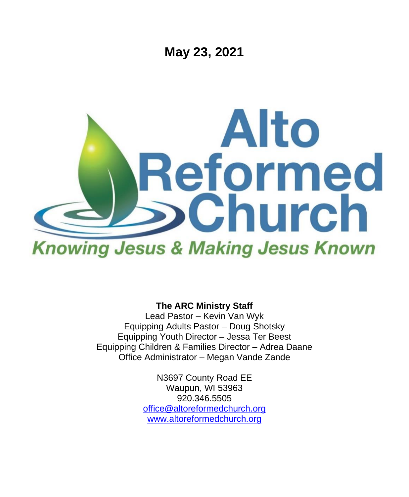

**The ARC Ministry Staff**

Lead Pastor – Kevin Van Wyk Equipping Adults Pastor – Doug Shotsky Equipping Youth Director – Jessa Ter Beest Equipping Children & Families Director – Adrea Daane Office Administrator – Megan Vande Zande

> N3697 County Road EE Waupun, WI 53963 920.346.5505 [office@altoreformedchurch.org](mailto:office@altoreformedchurch.org) [www.altoreformedchurch.org](http://www.altoreformedchurch.org/)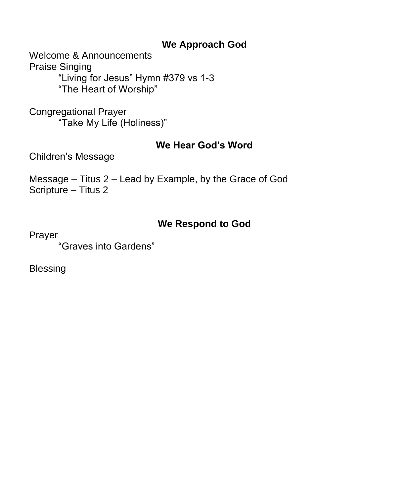### **We Approach God**

Welcome & Announcements Praise Singing "Living for Jesus" Hymn #379 vs 1-3 "The Heart of Worship"

Congregational Prayer "Take My Life (Holiness)"

### **We Hear God's Word**

Children's Message

Message – Titus 2 – Lead by Example, by the Grace of God Scripture – Titus 2

# **We Respond to God**

Prayer

"Graves into Gardens"

Blessing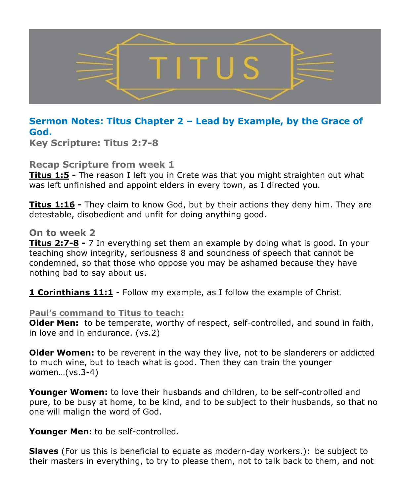

#### **Sermon Notes: Titus Chapter 2 – Lead by Example, by the Grace of God.**

**Key Scripture: Titus 2:7-8**

**Recap Scripture from week 1**

**Titus 1:5 -** The reason I left you in Crete was that you might straighten out what was left unfinished and appoint elders in every town, as I directed you.

**Titus 1:16 -** They claim to know God, but by their actions they deny him. They are detestable, disobedient and unfit for doing anything good.

#### **On to week 2**

**Titus 2:7-8 -** 7 In everything set them an example by doing what is good. In your teaching show integrity, seriousness 8 and soundness of speech that cannot be condemned, so that those who oppose you may be ashamed because they have nothing bad to say about us.

**1 Corinthians 11:1** - Follow my example, as I follow the example of Christ.

#### **Paul's command to Titus to teach:**

**Older Men:** to be temperate, worthy of respect, self-controlled, and sound in faith, in love and in endurance. (vs.2)

**Older Women:** to be reverent in the way they live, not to be slanderers or addicted to much wine, but to teach what is good. Then they can train the younger women…(vs.3-4)

**Younger Women:** to love their husbands and children, to be self-controlled and pure, to be busy at home, to be kind, and to be subject to their husbands, so that no one will malign the word of God.

**Younger Men:** to be self-controlled.

**Slaves** (For us this is beneficial to equate as modern-day workers.): be subject to their masters in everything, to try to please them, not to talk back to them, and not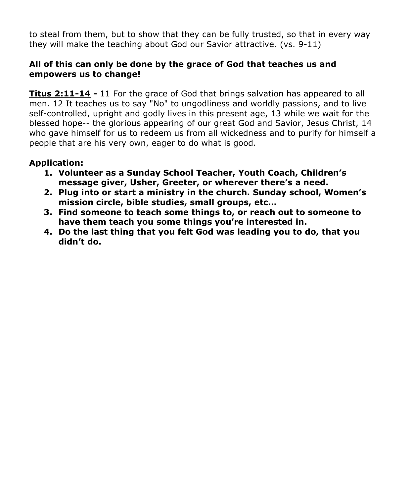to steal from them, but to show that they can be fully trusted, so that in every way they will make the teaching about God our Savior attractive. (vs. 9-11)

#### **All of this can only be done by the grace of God that teaches us and empowers us to change!**

**Titus 2:11-14 -** 11 For the grace of God that brings salvation has appeared to all men. 12 It teaches us to say "No" to ungodliness and worldly passions, and to live self-controlled, upright and godly lives in this present age, 13 while we wait for the blessed hope-- the glorious appearing of our great God and Savior, Jesus Christ, 14 who gave himself for us to redeem us from all wickedness and to purify for himself a people that are his very own, eager to do what is good.

#### **Application:**

- **1. Volunteer as a Sunday School Teacher, Youth Coach, Children's message giver, Usher, Greeter, or wherever there's a need.**
- **2. Plug into or start a ministry in the church. Sunday school, Women's mission circle, bible studies, small groups, etc…**
- **3. Find someone to teach some things to, or reach out to someone to have them teach you some things you're interested in.**
- **4. Do the last thing that you felt God was leading you to do, that you didn't do.**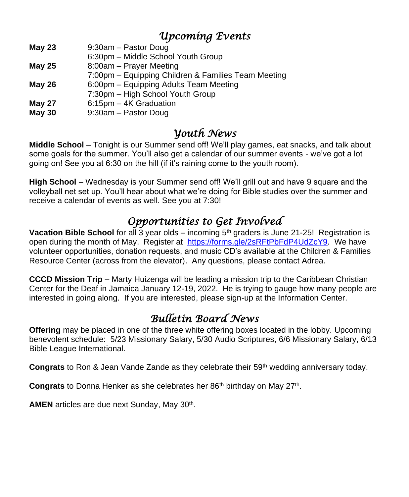# *Upcoming Events*

**May 23** 9:30am – Pastor Doug

6:30pm – Middle School Youth Group

**May 25** 8:00am – Prayer Meeting

7:00pm – Equipping Children & Families Team Meeting

**May 26** 6:00pm – Equipping Adults Team Meeting

- 7:30pm High School Youth Group
- **May 27** 6:15pm 4K Graduation
- **May 30** 9:30am Pastor Doug

# *Youth News*

**Middle School** – Tonight is our Summer send off! We'll play games, eat snacks, and talk about some goals for the summer. You'll also get a calendar of our summer events - we've got a lot going on! See you at 6:30 on the hill (if it's raining come to the youth room).

**High School** – Wednesday is your Summer send off! We'll grill out and have 9 square and the volleyball net set up. You'll hear about what we're doing for Bible studies over the summer and receive a calendar of events as well. See you at 7:30!

# *Opportunities to Get Involved*

**Vacation Bible School** for all 3 year olds – incoming 5<sup>th</sup> graders is June 21-25! Registration is open during the month of May. Register at [https://forms.gle/2sRFtPbFdP4UdZcY9.](https://na01.safelinks.protection.outlook.com/?url=http%3A%2F%2Flinks.breezechms.com%2Fls%2Fclick%3Fupn%3DtQDFDhR0nEOlNZKVZKv2dEg3OvQj0a-2B5JGz-2BxseoSu7E1vrB4h1oWm780fyouqtOIDPhuqgk6gtRbvbfrsRnhz9n1Yzr7nEKxVFkFpFKMxkoh59vDzmQ9InMUqi7hhmFaC5z1PN2AvrM3unEMEa02RX9nneHZEL9IAMDaT3bOa4-3DgWdR_U8-2FzRMA8pwK6BcKXi4HrKpKb3fHOB0elU-2BAvqxm-2FKiS6MX4G8HavMkPn-2FWG1iyelCyfb4on5Jd4Cr5hOkCAL7JAbucdGJcE7uY5pIc9fpB9oSKqPBdARmBvkWDI1i4I-2FHjYF8zSDS6BnT1ywYfruA8S6l8so-2FCOZgyybP8atCvbcntEMCWksHN5VdNMvUNFCSZHAmE7gRQdbzR8OTz4wHTAQm01cysl6nhd8jovXqP9ZhJwuCow3pgwZuTDJg6awLTL6DMoT0RXDC3H51cr5Z4qrOsl2eOeKwRc8H3Mx4Oo-3D&data=04%7C01%7C%7C5398d0f64eef47d46c6d08d90be2bcf2%7C84df9e7fe9f640afb435aaaaaaaaaaaa%7C1%7C0%7C637553890719092207%7CUnknown%7CTWFpbGZsb3d8eyJWIjoiMC4wLjAwMDAiLCJQIjoiV2luMzIiLCJBTiI6Ik1haWwiLCJXVCI6Mn0%3D%7C1000&sdata=p7YtKll%2FzvrteEcGfyTP2RV2ZgH4PFt4ipVlpPevG0g%3D&reserved=0) We have volunteer opportunities, donation requests, and music CD's available at the Children & Families Resource Center (across from the elevator). Any questions, please contact Adrea.

**CCCD Mission Trip –** Marty Huizenga will be leading a mission trip to the Caribbean Christian Center for the Deaf in Jamaica January 12-19, 2022. He is trying to gauge how many people are interested in going along. If you are interested, please sign-up at the Information Center.

# *Bulletin Board News*

**Offering** may be placed in one of the three white offering boxes located in the lobby. Upcoming benevolent schedule: 5/23 Missionary Salary, 5/30 Audio Scriptures, 6/6 Missionary Salary, 6/13 Bible League International.

**Congrats** to Ron & Jean Vande Zande as they celebrate their 59th wedding anniversary today.

Congrats to Donna Henker as she celebrates her 86<sup>th</sup> birthday on May 27<sup>th</sup>.

AMEN articles are due next Sunday, May 30<sup>th</sup>.